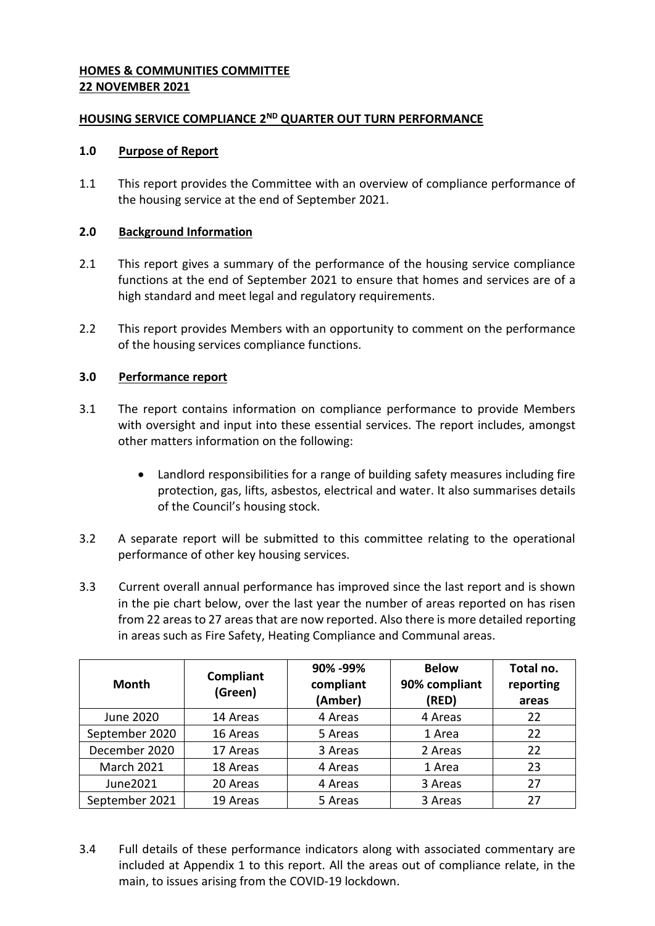### **HOMES & COMMUNITIES COMMITTEE 22 NOVEMBER 2021**

## **HOUSING SERVICE COMPLIANCE 2<sup>ND</sup> QUARTER OUT TURN PERFORMANCE**

### **1.0 Purpose of Report**

1.1 This report provides the Committee with an overview of compliance performance of the housing service at the end of September 2021.

### **2.0 Background Information**

- 2.1 This report gives a summary of the performance of the housing service compliance functions at the end of September 2021 to ensure that homes and services are of a high standard and meet legal and regulatory requirements.
- 2.2 This report provides Members with an opportunity to comment on the performance of the housing services compliance functions.

## **3.0 Performance report**

- 3.1 The report contains information on compliance performance to provide Members with oversight and input into these essential services. The report includes, amongst other matters information on the following:
	- Landlord responsibilities for a range of building safety measures including fire protection, gas, lifts, asbestos, electrical and water. It also summarises details of the Council's housing stock.
- 3.2 A separate report will be submitted to this committee relating to the operational performance of other key housing services.
- 3.3 Current overall annual performance has improved since the last report and is shown in the pie chart below, over the last year the number of areas reported on has risen from 22 areas to 27 areas that are now reported. Also there is more detailed reporting in areas such as Fire Safety, Heating Compliance and Communal areas.

| <b>Month</b>      | Compliant<br>(Green) | 90% - 99%<br>compliant<br>(Amber) | <b>Below</b><br>90% compliant<br>(RED) | Total no.<br>reporting<br>areas |
|-------------------|----------------------|-----------------------------------|----------------------------------------|---------------------------------|
| <b>June 2020</b>  | 14 Areas             | 4 Areas                           | 4 Areas                                | 22                              |
| September 2020    | 16 Areas             | 5 Areas                           | 1 Area                                 | 22                              |
| December 2020     | 17 Areas             | 3 Areas                           | 2 Areas                                | 22                              |
| <b>March 2021</b> | 18 Areas             | 4 Areas                           | 1 Area                                 | 23                              |
| June2021          | 20 Areas             | 4 Areas                           | 3 Areas                                | 27                              |
| September 2021    | 19 Areas             | 5 Areas                           | 3 Areas                                | 27                              |

3.4 Full details of these performance indicators along with associated commentary are included at Appendix 1 to this report. All the areas out of compliance relate, in the main, to issues arising from the COVID-19 lockdown.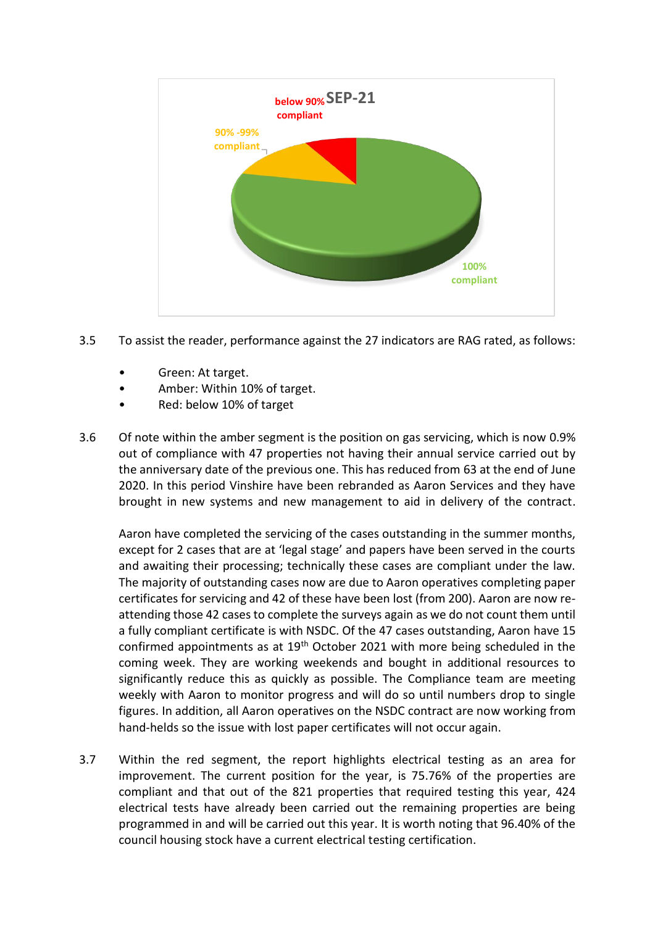

- 3.5 To assist the reader, performance against the 27 indicators are RAG rated, as follows:
	- Green: At target.
	- Amber: Within 10% of target.
	- Red: below 10% of target
- 3.6 Of note within the amber segment is the position on gas servicing, which is now 0.9% out of compliance with 47 properties not having their annual service carried out by the anniversary date of the previous one. This has reduced from 63 at the end of June 2020. In this period Vinshire have been rebranded as Aaron Services and they have brought in new systems and new management to aid in delivery of the contract.

Aaron have completed the servicing of the cases outstanding in the summer months, except for 2 cases that are at 'legal stage' and papers have been served in the courts and awaiting their processing; technically these cases are compliant under the law. The majority of outstanding cases now are due to Aaron operatives completing paper certificates for servicing and 42 of these have been lost (from 200). Aaron are now reattending those 42 cases to complete the surveys again as we do not count them until a fully compliant certificate is with NSDC. Of the 47 cases outstanding, Aaron have 15 confirmed appointments as at 19<sup>th</sup> October 2021 with more being scheduled in the coming week. They are working weekends and bought in additional resources to significantly reduce this as quickly as possible. The Compliance team are meeting weekly with Aaron to monitor progress and will do so until numbers drop to single figures. In addition, all Aaron operatives on the NSDC contract are now working from hand-helds so the issue with lost paper certificates will not occur again.

3.7 Within the red segment, the report highlights electrical testing as an area for improvement. The current position for the year, is 75.76% of the properties are compliant and that out of the 821 properties that required testing this year, 424 electrical tests have already been carried out the remaining properties are being programmed in and will be carried out this year. It is worth noting that 96.40% of the council housing stock have a current electrical testing certification.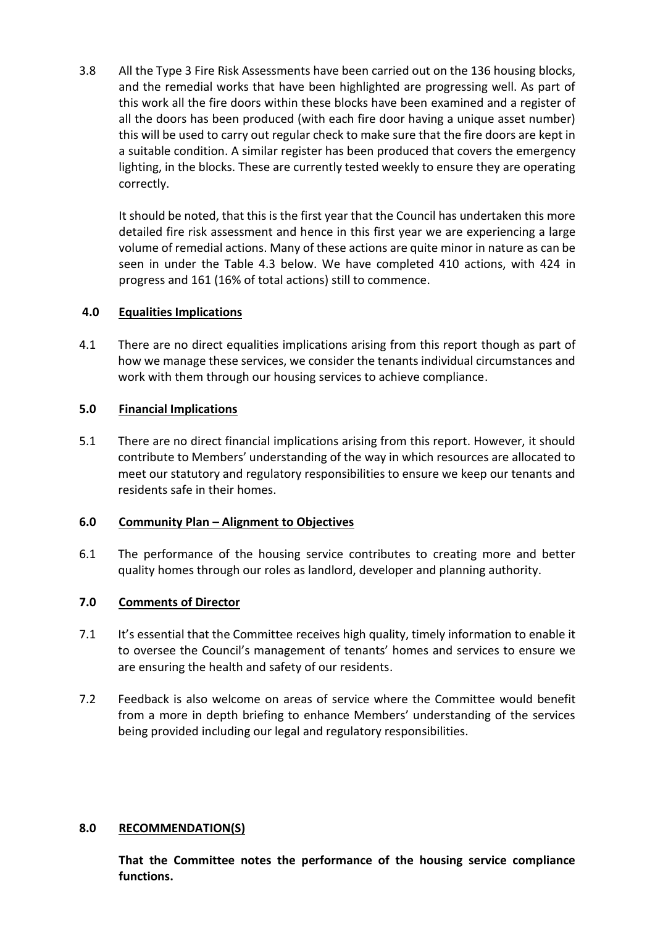3.8 All the Type 3 Fire Risk Assessments have been carried out on the 136 housing blocks, and the remedial works that have been highlighted are progressing well. As part of this work all the fire doors within these blocks have been examined and a register of all the doors has been produced (with each fire door having a unique asset number) this will be used to carry out regular check to make sure that the fire doors are kept in a suitable condition. A similar register has been produced that covers the emergency lighting, in the blocks. These are currently tested weekly to ensure they are operating correctly.

It should be noted, that this is the first year that the Council has undertaken this more detailed fire risk assessment and hence in this first year we are experiencing a large volume of remedial actions. Many of these actions are quite minor in nature as can be seen in under the Table 4.3 below. We have completed 410 actions, with 424 in progress and 161 (16% of total actions) still to commence.

### **4.0 Equalities Implications**

4.1 There are no direct equalities implications arising from this report though as part of how we manage these services, we consider the tenants individual circumstances and work with them through our housing services to achieve compliance.

### **5.0 Financial Implications**

5.1 There are no direct financial implications arising from this report. However, it should contribute to Members' understanding of the way in which resources are allocated to meet our statutory and regulatory responsibilities to ensure we keep our tenants and residents safe in their homes.

### **6.0 Community Plan – Alignment to Objectives**

6.1 The performance of the housing service contributes to creating more and better quality homes through our roles as landlord, developer and planning authority.

## **7.0 Comments of Director**

- 7.1 It's essential that the Committee receives high quality, timely information to enable it to oversee the Council's management of tenants' homes and services to ensure we are ensuring the health and safety of our residents.
- 7.2 Feedback is also welcome on areas of service where the Committee would benefit from a more in depth briefing to enhance Members' understanding of the services being provided including our legal and regulatory responsibilities.

### **8.0 RECOMMENDATION(S)**

**That the Committee notes the performance of the housing service compliance functions.**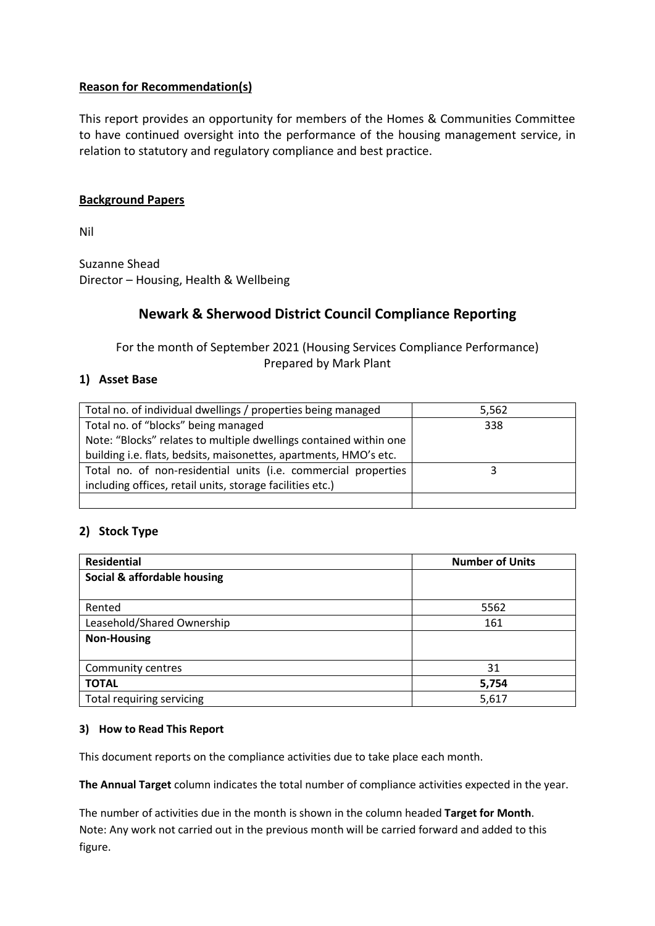## **Reason for Recommendation(s)**

This report provides an opportunity for members of the Homes & Communities Committee to have continued oversight into the performance of the housing management service, in relation to statutory and regulatory compliance and best practice.

### **Background Papers**

Nil

Suzanne Shead Director – Housing, Health & Wellbeing

# **Newark & Sherwood District Council Compliance Reporting**

For the month of September 2021 (Housing Services Compliance Performance) Prepared by Mark Plant

### **1) Asset Base**

| Total no. of individual dwellings / properties being managed      | 5,562 |
|-------------------------------------------------------------------|-------|
| Total no. of "blocks" being managed                               | 338   |
| Note: "Blocks" relates to multiple dwellings contained within one |       |
| building i.e. flats, bedsits, maisonettes, apartments, HMO's etc. |       |
| Total no. of non-residential units (i.e. commercial properties    |       |
| including offices, retail units, storage facilities etc.)         |       |
|                                                                   |       |

### **2) Stock Type**

| <b>Residential</b>          | <b>Number of Units</b> |
|-----------------------------|------------------------|
| Social & affordable housing |                        |
|                             |                        |
| Rented                      | 5562                   |
| Leasehold/Shared Ownership  | 161                    |
| <b>Non-Housing</b>          |                        |
|                             |                        |
| Community centres           | 31                     |
| <b>TOTAL</b>                | 5,754                  |
| Total requiring servicing   | 5,617                  |

#### **3) How to Read This Report**

This document reports on the compliance activities due to take place each month.

**The Annual Target** column indicates the total number of compliance activities expected in the year.

The number of activities due in the month is shown in the column headed **Target for Month**. Note: Any work not carried out in the previous month will be carried forward and added to this figure.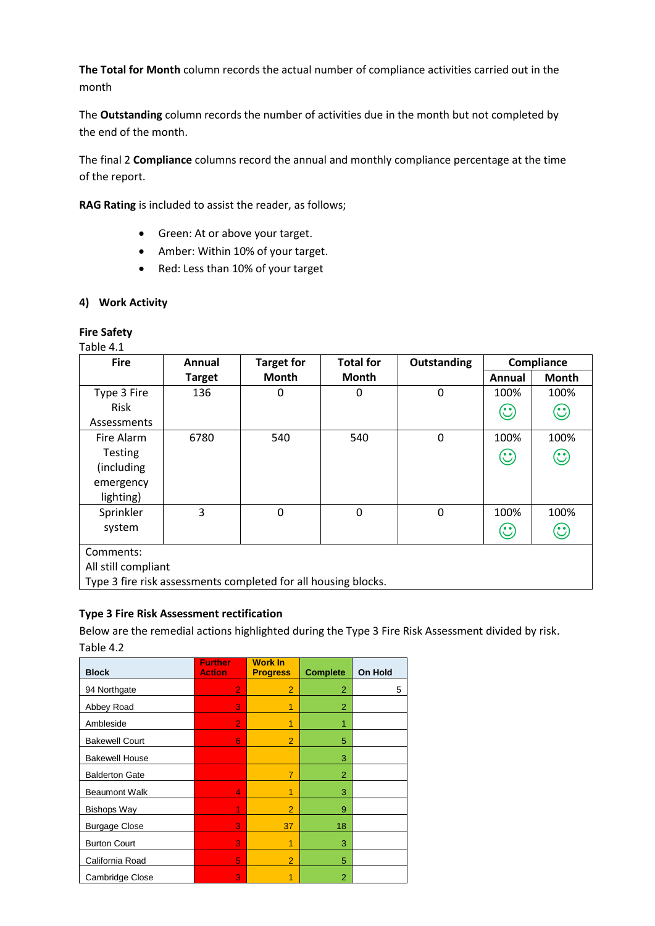**The Total for Month** column records the actual number of compliance activities carried out in the month

The **Outstanding** column records the number of activities due in the month but not completed by the end of the month.

The final 2 **Compliance** columns record the annual and monthly compliance percentage at the time of the report.

**RAG Rating** is included to assist the reader, as follows;

- Green: At or above your target.
- Amber: Within 10% of your target.
- Red: Less than 10% of your target

### **4) Work Activity**

#### **Fire Safety**

Table 4.1

| <b>Fire</b>         | Annual        | <b>Target for</b>                                              | <b>Total for</b> | <b>Outstanding</b> |                                                                         | Compliance                     |  |  |
|---------------------|---------------|----------------------------------------------------------------|------------------|--------------------|-------------------------------------------------------------------------|--------------------------------|--|--|
|                     | <b>Target</b> | Month                                                          | Month            |                    | Annual                                                                  | <b>Month</b>                   |  |  |
| Type 3 Fire         | 136           | 0                                                              | 0                | 0                  | 100%                                                                    | 100%                           |  |  |
| Risk                |               |                                                                |                  |                    | $\odot$                                                                 | $\mathbb{C}$                   |  |  |
| Assessments         |               |                                                                |                  |                    |                                                                         |                                |  |  |
| Fire Alarm          | 6780          | 540                                                            | 540              | 0                  | 100%                                                                    | 100%                           |  |  |
| <b>Testing</b>      |               |                                                                |                  |                    | $\odot$                                                                 | $\mathbb{C}% _{n}^{X\times n}$ |  |  |
| (including)         |               |                                                                |                  |                    |                                                                         |                                |  |  |
| emergency           |               |                                                                |                  |                    |                                                                         |                                |  |  |
| lighting)           |               |                                                                |                  |                    |                                                                         |                                |  |  |
| Sprinkler           | 3             | $\Omega$                                                       | $\mathbf 0$      | $\Omega$           | 100%                                                                    | 100%                           |  |  |
| system              |               |                                                                |                  |                    | $\mathbf{\large \text{(}}\mathbf{\large \cdot \ }\mathbf{\large \cup }$ | $\mathbb{C}$                   |  |  |
| Comments:           |               |                                                                |                  |                    |                                                                         |                                |  |  |
| All still compliant |               |                                                                |                  |                    |                                                                         |                                |  |  |
|                     |               | Type 3 fire risk assessments completed for all housing blocks. |                  |                    |                                                                         |                                |  |  |

### **Type 3 Fire Risk Assessment rectification**

Below are the remedial actions highlighted during the Type 3 Fire Risk Assessment divided by risk. Table 4.2

| <b>Block</b>          | <b>Further</b><br><b>Action</b> | <b>Work In</b><br><b>Progress</b> | <b>Complete</b> | <b>On Hold</b> |
|-----------------------|---------------------------------|-----------------------------------|-----------------|----------------|
| 94 Northgate          | 2                               | $\overline{2}$                    | $\overline{2}$  | 5              |
| Abbey Road            | 3                               | 1                                 | $\overline{2}$  |                |
| Ambleside             | $\overline{2}$                  | 1                                 | 1               |                |
| <b>Bakewell Court</b> | 6                               | $\overline{2}$                    | 5               |                |
| <b>Bakewell House</b> |                                 |                                   | 3               |                |
| <b>Balderton Gate</b> |                                 | $\overline{7}$                    | 2               |                |
| <b>Beaumont Walk</b>  | 4                               | 1                                 | 3               |                |
| <b>Bishops Way</b>    | 1                               | $\overline{2}$                    | 9               |                |
| <b>Burgage Close</b>  | 3                               | 37                                | 18              |                |
| <b>Burton Court</b>   | 3                               | 1                                 | 3               |                |
| California Road       | 5                               | $\overline{2}$                    | 5               |                |
| Cambridge Close       | 3                               | 1                                 | $\overline{2}$  |                |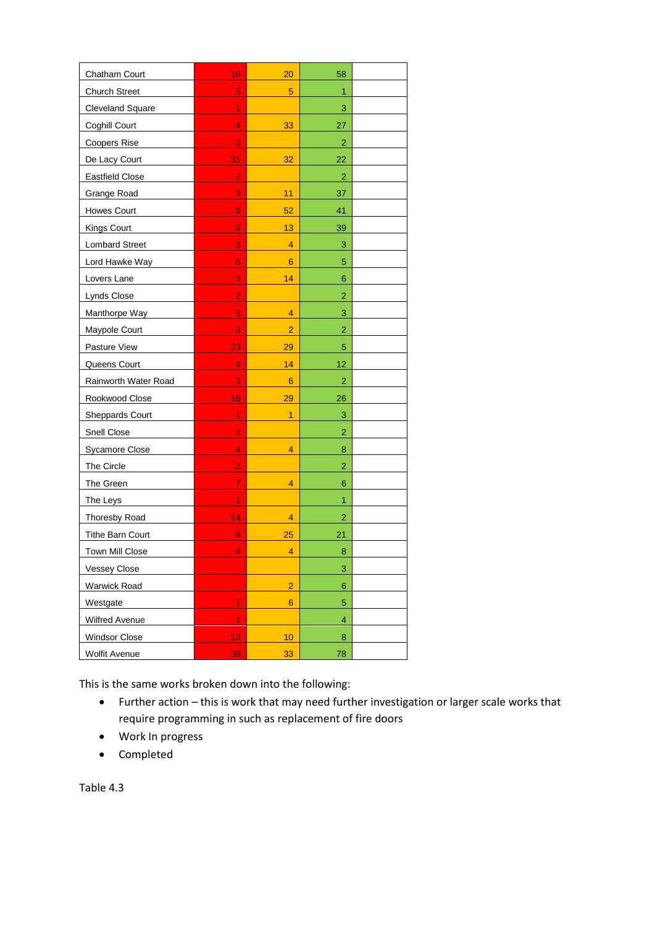| Chatham Court           | 16             | 20             | 58                      |  |
|-------------------------|----------------|----------------|-------------------------|--|
| <b>Church Street</b>    | 5              | 5              | 1                       |  |
| <b>Cleveland Square</b> | 1              |                | 3                       |  |
| Coghill Court           | 4              | 33             | 27                      |  |
| <b>Coopers Rise</b>     | $\overline{2}$ |                | $\overline{2}$          |  |
| De Lacy Court           | 31             | 32             | 22                      |  |
| <b>Eastfield Close</b>  | $\overline{2}$ |                | $\overline{2}$          |  |
| <b>Grange Road</b>      | 3              | 11             | 37                      |  |
| <b>Howes Court</b>      | 6              | 52             | 41                      |  |
| Kings Court             | 9              | 13             | 39                      |  |
| <b>Lombard Street</b>   | 3              | 4              | 3                       |  |
| Lord Hawke Way          | 5              | 6              | 5                       |  |
| Lovers Lane             | 3              | 14             | 6                       |  |
| <b>Lynds Close</b>      | $\overline{2}$ |                | $\overline{c}$          |  |
| Manthorpe Way           | 3              | 4              | 3                       |  |
| Maypole Court           | 3              | $\overline{2}$ | $\overline{2}$          |  |
| Pasture View            | 23             | 29             | 5                       |  |
| Queens Court            | 9              | 14             | 12                      |  |
| Rainworth Water Road    | 3              | 6              | 2                       |  |
| Rookwood Close          | 16             | 29             | 26                      |  |
| <b>Sheppards Court</b>  | $\overline{1}$ | $\overline{1}$ | 3                       |  |
| Snell Close             | 1              |                | $\overline{\mathbf{c}}$ |  |
| <b>Sycamore Close</b>   | 4              | 4              | 8                       |  |
| The Circle              | $\overline{2}$ |                | $\overline{2}$          |  |
| The Green               | $\overline{7}$ | 4              | 6                       |  |
| The Leys                | 1              |                | 1                       |  |
| Thoresby Road           | 14             | 4              | $\overline{a}$          |  |
| <b>Tithe Barn Court</b> | 9              | 25             | 21                      |  |
| <b>Town Mill Close</b>  | 4              | 4              | 8                       |  |
| <b>Vessey Close</b>     |                |                | 3                       |  |
| <b>Warwick Road</b>     |                | $\overline{2}$ | 6                       |  |
| Westgate                | 1              | 6              | $\overline{5}$          |  |
| Wilfred Avenue          | $\overline{1}$ |                | $\overline{4}$          |  |
| <b>Windsor Close</b>    | 13             | 10             | 8                       |  |
| <b>Wolfit Avenue</b>    | 39             | 33             | 78                      |  |

This is the same works broken down into the following:

- Further action this is work that may need further investigation or larger scale works that require programming in such as replacement of fire doors
- Work In progress
- Completed

Table 4.3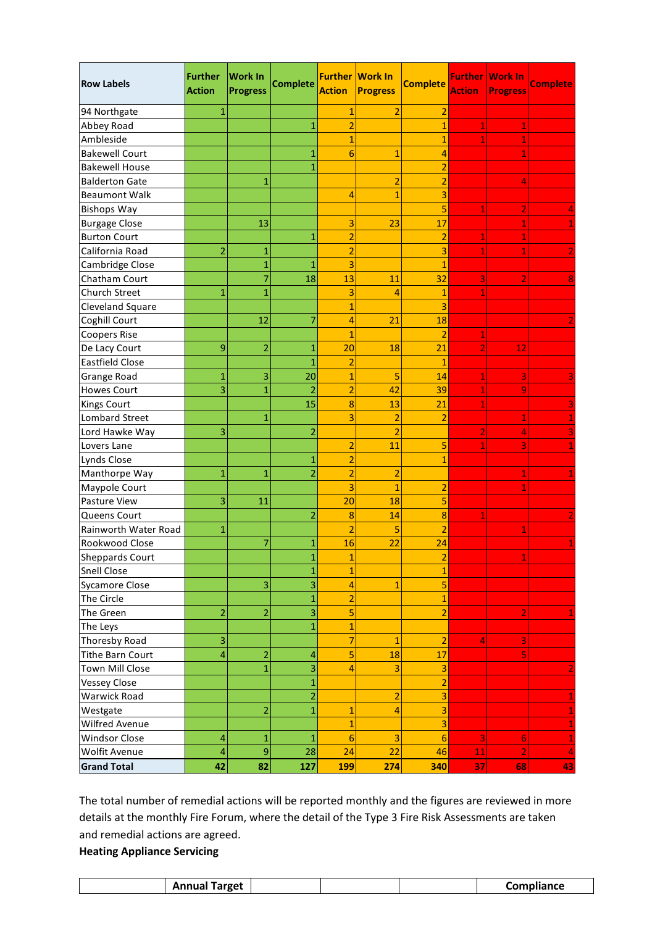| <b>Row Labels</b>       | <b>Further</b><br><b>Action</b> | <b>Work In</b><br><b>Progress</b> | <b>Complete</b>         | <b>Further</b><br><b>Action</b> | <b>Work In</b><br><b>Progress</b> | <b>Complete</b>         | <b>Further</b><br><b>Action</b> | <b>Work In</b><br><b>Progress</b> | <b>Complete</b> |
|-------------------------|---------------------------------|-----------------------------------|-------------------------|---------------------------------|-----------------------------------|-------------------------|---------------------------------|-----------------------------------|-----------------|
| 94 Northgate            | 1                               |                                   |                         | 1                               | $\overline{2}$                    | $\overline{2}$          |                                 |                                   |                 |
| Abbey Road              |                                 |                                   | 1                       | $\overline{a}$                  |                                   | $\mathbf{1}$            | 1                               |                                   |                 |
| Ambleside               |                                 |                                   |                         | 1                               |                                   | $\overline{1}$          | 1                               |                                   |                 |
| <b>Bakewell Court</b>   |                                 |                                   | 1                       | 6                               | $\mathbf{1}$                      | 4                       |                                 |                                   |                 |
| <b>Bakewell House</b>   |                                 |                                   | 1                       |                                 |                                   | $\overline{2}$          |                                 |                                   |                 |
| <b>Balderton Gate</b>   |                                 | 1                                 |                         |                                 | $\overline{2}$                    | $\overline{a}$          |                                 | 4                                 |                 |
| <b>Beaumont Walk</b>    |                                 |                                   |                         | 4                               | $\mathbf{1}$                      | 3                       |                                 |                                   |                 |
| <b>Bishops Way</b>      |                                 |                                   |                         |                                 |                                   | 5                       | 1                               | 2                                 | 4               |
| <b>Burgage Close</b>    |                                 | 13                                |                         | 3                               | 23                                | 17                      |                                 |                                   |                 |
| <b>Burton Court</b>     |                                 |                                   | $\mathbf{1}$            | $\overline{a}$                  |                                   | $\overline{a}$          | 1                               |                                   |                 |
| California Road         | $\overline{2}$                  | 1                                 |                         | $\overline{2}$                  |                                   | 3                       | 1                               |                                   |                 |
| Cambridge Close         |                                 | $\overline{1}$                    | $\mathbf{1}$            | 3                               |                                   | $\mathbf{1}$            |                                 |                                   |                 |
| Chatham Court           |                                 | 7                                 | 18                      | 13                              | 11                                | 32                      | 3                               | 2                                 |                 |
| Church Street           | 1                               | $\mathbf{1}$                      |                         | 3                               | 4                                 | 1                       | 1                               |                                   |                 |
| Cleveland Square        |                                 |                                   |                         | 1                               |                                   | 3                       |                                 |                                   |                 |
| Coghill Court           |                                 | 12                                | 7                       | $\overline{4}$                  | 21                                | 18                      |                                 |                                   |                 |
| <b>Coopers Rise</b>     |                                 |                                   |                         | 1                               |                                   | $\overline{2}$          | 1                               |                                   |                 |
| De Lacy Court           | 9                               | $\overline{2}$                    | 1                       | 20                              | 18                                | 21                      | $\overline{2}$                  | 12                                |                 |
| <b>Eastfield Close</b>  |                                 |                                   | $\overline{1}$          | $\overline{a}$                  |                                   | $\mathbf{1}$            |                                 |                                   |                 |
| Grange Road             | 1                               | 3                                 | 20                      | $\overline{1}$                  | 5                                 | 14                      | 1                               | 3                                 |                 |
| <b>Howes Court</b>      | 3                               | $\mathbf{1}$                      | $\overline{2}$          | $\overline{2}$                  | 42                                | 39                      | 1                               | 9                                 |                 |
| <b>Kings Court</b>      |                                 |                                   | 15                      | 8                               | 13                                | 21                      | 1                               |                                   |                 |
| <b>Lombard Street</b>   |                                 | 1                                 |                         | 3                               | $\overline{2}$                    | $\overline{2}$          |                                 | 1                                 |                 |
| Lord Hawke Way          | 3                               |                                   | $\overline{2}$          |                                 | $\overline{2}$                    |                         | 2                               | 4                                 |                 |
| Lovers Lane             |                                 |                                   |                         | $\overline{2}$                  | 11                                | 5                       | 1                               | 3                                 | 1               |
| <b>Lynds Close</b>      |                                 |                                   | $\mathbf{1}$            | $\overline{2}$                  |                                   | $\mathbf{1}$            |                                 |                                   |                 |
| Manthorpe Way           | 1                               | $\mathbf{1}$                      | $\overline{2}$          | $\overline{2}$                  | $\overline{2}$                    |                         |                                 | 1                                 | 1               |
| Maypole Court           |                                 |                                   |                         | 3                               | $\mathbf{1}$                      | $\overline{2}$          |                                 |                                   |                 |
| Pasture View            | 3                               | 11                                |                         | 20                              | 18                                | 5                       |                                 |                                   |                 |
| Queens Court            |                                 |                                   | $\overline{2}$          | 8                               | 14                                | 8                       |                                 |                                   |                 |
| Rainworth Water Road    | 1                               |                                   |                         | $\overline{2}$                  | 5                                 | $\overline{2}$          |                                 |                                   |                 |
| Rookwood Close          |                                 | 7                                 | 1                       | 16                              | 22                                | 24                      |                                 |                                   |                 |
| <b>Sheppards Court</b>  |                                 |                                   | 1                       | 1                               |                                   | 2                       |                                 |                                   |                 |
| <b>Snell Close</b>      |                                 |                                   | $\mathbf{1}$            | $\overline{1}$                  |                                   | $\mathbf{1}$            |                                 |                                   |                 |
| <b>Sycamore Close</b>   |                                 | 3                                 | $\overline{\mathbf{3}}$ | 4                               | $\mathbf{1}$                      | 5                       |                                 |                                   |                 |
| The Circle              |                                 |                                   | $\overline{1}$          | $\overline{2}$                  |                                   | $\overline{1}$          |                                 |                                   |                 |
| The Green               | $\overline{2}$                  | $\overline{a}$                    | 3                       | 5                               |                                   | $\overline{2}$          |                                 | 2                                 |                 |
| The Leys                |                                 |                                   | $\overline{1}$          | $\overline{1}$                  |                                   |                         |                                 |                                   |                 |
| Thoresby Road           | 3                               |                                   |                         | $\overline{7}$                  | $\mathbf{1}$                      | $\overline{2}$          | 4                               | 3                                 |                 |
| <b>Tithe Barn Court</b> | 4                               | $\overline{2}$                    | 4                       | 5                               | 18                                | 17                      |                                 | 5                                 |                 |
| <b>Town Mill Close</b>  |                                 | $\mathbf{1}$                      | 3                       | 4                               | 3                                 | 3                       |                                 |                                   | 2               |
| <b>Vessey Close</b>     |                                 |                                   | $\overline{1}$          |                                 |                                   | $\overline{2}$          |                                 |                                   |                 |
| Warwick Road            |                                 |                                   | $\overline{2}$          |                                 | $\overline{2}$                    | $\overline{\mathbf{3}}$ |                                 |                                   | 1               |
| Westgate                |                                 | $\overline{a}$                    | $\overline{1}$          | $\overline{1}$                  | $\overline{4}$                    | 3                       |                                 |                                   | $\mathbf{1}$    |
| Wilfred Avenue          |                                 |                                   |                         | $\overline{1}$                  |                                   | 3                       |                                 |                                   | $\mathbf 1$     |
| <b>Windsor Close</b>    | 4                               | $\mathbf{1}$                      | $\mathbf{1}$            | $6\phantom{1}6$                 | 3                                 | 6                       | 3                               | 6                                 | 1               |
| Wolfit Avenue           | 4                               | 9                                 | 28                      | 24                              | 22                                | 46                      | 11                              |                                   | $\overline{4}$  |
| <b>Grand Total</b>      | 42                              | 82                                | 127                     | <b>199</b>                      | 274                               | 340                     | 37                              | 68                                | 43              |

The total number of remedial actions will be reported monthly and the figures are reviewed in more details at the monthly Fire Forum, where the detail of the Type 3 Fire Risk Assessments are taken and remedial actions are agreed.

## **Heating Appliance Servicing**

| ırget<br>$A$ is in i.e.<br>$\sim$<br>. | $  -$<br>iance<br>$ -$ |
|----------------------------------------|------------------------|
|----------------------------------------|------------------------|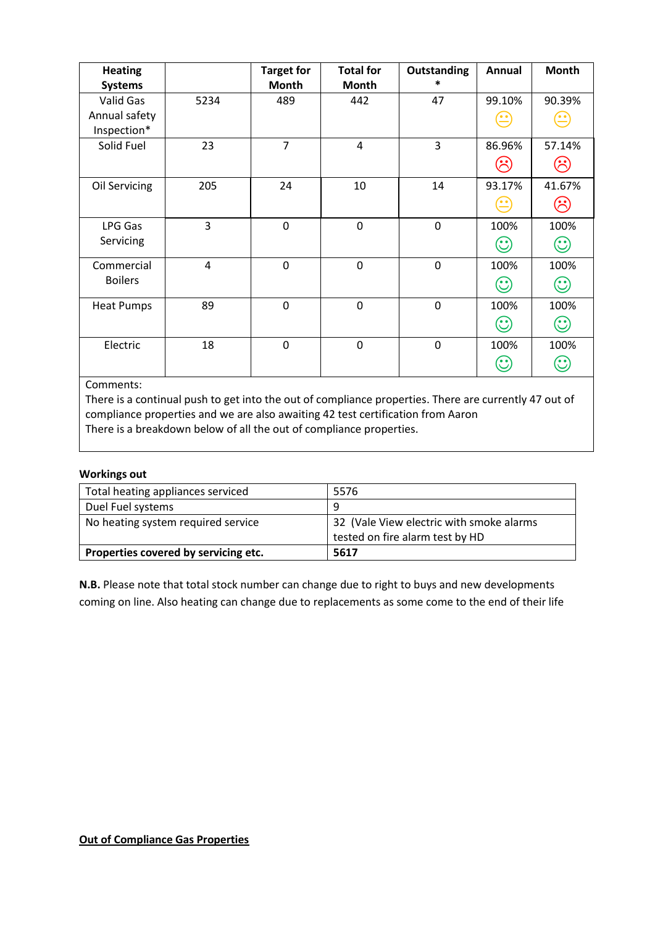| <b>Heating</b><br><b>Systems</b> |                | <b>Target for</b><br><b>Month</b> | <b>Total for</b><br>Month | <b>Outstanding</b><br>* | Annual       | <b>Month</b>                                                |
|----------------------------------|----------------|-----------------------------------|---------------------------|-------------------------|--------------|-------------------------------------------------------------|
| Valid Gas                        | 5234           | 489                               | 442                       | 47                      | 99.10%       | 90.39%                                                      |
| Annual safety<br>Inspection*     |                |                                   |                           |                         |              | <u>. .</u>                                                  |
| Solid Fuel                       | 23             | $\overline{7}$                    | $\overline{4}$            | 3                       | 86.96%       | 57.14%                                                      |
|                                  |                |                                   |                           |                         |              | $\hat{\mathcal{E}}$                                         |
| Oil Servicing                    | 205            | 24                                | 10                        | 14                      | 93.17%       | 41.67%                                                      |
|                                  |                |                                   |                           |                         |              | $(\hspace{-1.5pt}\dot{\hspace{-.5pt}\cdot}\hspace{-1.5pt})$ |
| LPG Gas                          | 3              | $\mathbf 0$                       | $\overline{0}$            | $\overline{0}$          | 100%         | 100%                                                        |
| Servicing                        |                |                                   |                           |                         | $\mathbb{C}$ | $\mathbf{\hat{c}}$                                          |
| Commercial                       | $\overline{4}$ | 0                                 | $\mathbf 0$               | $\mathbf 0$             | 100%         | 100%                                                        |
| <b>Boilers</b>                   |                |                                   |                           |                         | 99           | $\odot$                                                     |
| <b>Heat Pumps</b>                | 89             | 0                                 | $\mathbf 0$               | $\boldsymbol{0}$        | 100%         | 100%                                                        |
|                                  |                |                                   |                           |                         | $\odot$      | $\odot$                                                     |
| Electric                         | 18             | $\mathbf 0$                       | $\mathbf 0$               | $\mathbf 0$             | 100%         | 100%                                                        |
|                                  |                |                                   |                           |                         |              | $\mathbb{C}$                                                |

Comments:

There is a continual push to get into the out of compliance properties. There are currently 47 out of compliance properties and we are also awaiting 42 test certification from Aaron There is a breakdown below of all the out of compliance properties.

#### **Workings out**

| Total heating appliances serviced    | 5576                                                                        |
|--------------------------------------|-----------------------------------------------------------------------------|
| Duel Fuel systems                    | q                                                                           |
| No heating system required service   | 32 (Vale View electric with smoke alarms<br>tested on fire alarm test by HD |
| Properties covered by servicing etc. | 5617                                                                        |

**N.B.** Please note that total stock number can change due to right to buys and new developments coming on line. Also heating can change due to replacements as some come to the end of their life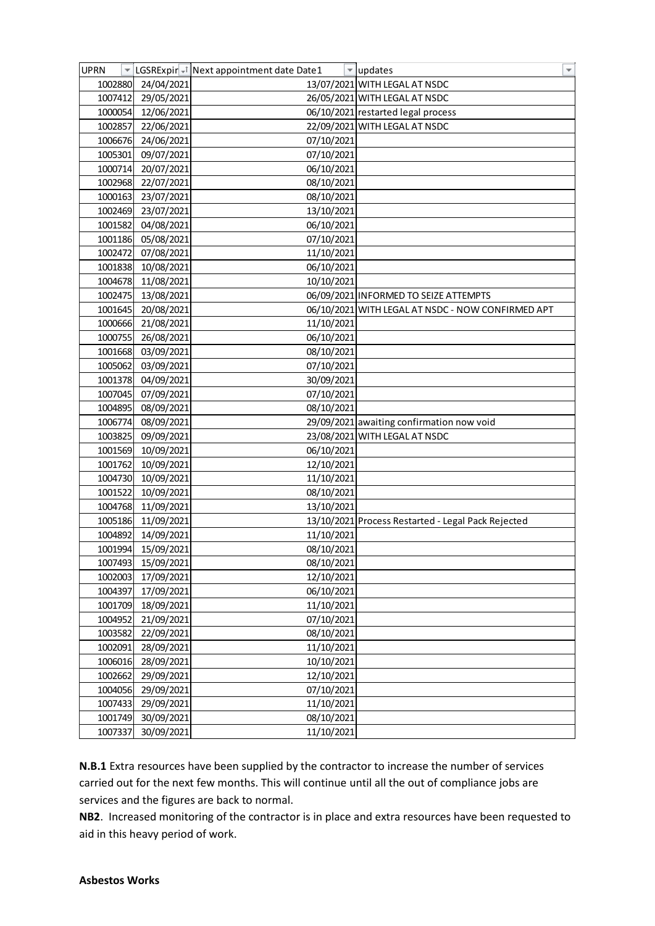| 1002880<br>24/04/2021<br>13/07/2021 WITH LEGAL AT NSDC<br>1007412<br>29/05/2021<br>26/05/2021 WITH LEGAL AT NSDC<br>06/10/2021 restarted legal process<br>1000054<br>12/06/2021<br>22/09/2021 WITH LEGAL AT NSDC<br>1002857<br>22/06/2021<br>24/06/2021<br>07/10/2021<br>1006676<br>09/07/2021<br>07/10/2021<br>1005301<br>1000714<br>20/07/2021<br>06/10/2021<br>1002968<br>22/07/2021<br>08/10/2021<br>1000163<br>23/07/2021<br>08/10/2021<br>1002469<br>23/07/2021<br>13/10/2021<br>1001582<br>04/08/2021<br>06/10/2021<br>1001186<br>05/08/2021<br>07/10/2021<br>1002472<br>07/08/2021<br>11/10/2021<br>06/10/2021<br>1001838<br>10/08/2021<br>1004678<br>11/08/2021<br>10/10/2021<br>1002475<br>13/08/2021<br>06/09/2021 INFORMED TO SEIZE ATTEMPTS<br>1001645<br>20/08/2021<br>06/10/2021 WITH LEGAL AT NSDC - NOW CONFIRMED APT<br>11/10/2021<br>1000666<br>21/08/2021<br>1000755<br>26/08/2021<br>06/10/2021<br>1001668<br>03/09/2021<br>08/10/2021<br>1005062<br>03/09/2021<br>07/10/2021<br>1001378<br>04/09/2021<br>30/09/2021<br>07/09/2021<br>1007045<br>07/10/2021<br>1004895<br>08/09/2021<br>08/10/2021<br>1006774<br>29/09/2021 awaiting confirmation now void<br>08/09/2021<br>23/08/2021 WITH LEGAL AT NSDC<br>1003825<br>09/09/2021<br>10/09/2021<br>06/10/2021<br>1001569<br>12/10/2021<br>1001762<br>10/09/2021<br>1004730<br>10/09/2021<br>11/10/2021<br>1001522<br>10/09/2021<br>08/10/2021<br>1004768<br>11/09/2021<br>13/10/2021<br>1005186<br>13/10/2021 Process Restarted - Legal Pack Rejected<br>11/09/2021<br>1004892<br>11/10/2021<br>14/09/2021<br>15/09/2021<br>1001994<br>08/10/2021<br>1007493<br>15/09/2021<br>08/10/2021<br>12/10/2021<br>17/09/2021<br>1002003<br>06/10/2021<br>1004397<br>17/09/2021<br>18/09/2021<br>1001709<br>11/10/2021<br>1004952<br>21/09/2021<br>07/10/2021<br>22/09/2021<br>08/10/2021<br>1003582<br>1002091<br>28/09/2021<br>11/10/2021<br>1006016<br>28/09/2021<br>10/10/2021<br>12/10/2021<br>1002662<br>29/09/2021<br>1004056<br>29/09/2021<br>07/10/2021<br>1007433<br>29/09/2021<br>11/10/2021<br>30/09/2021<br>08/10/2021<br>1001749 | <b>UPRN</b> | LGSRExpir -1 Next appointment date Date1 | $\overline{\mathbf v}$<br>updates |
|-------------------------------------------------------------------------------------------------------------------------------------------------------------------------------------------------------------------------------------------------------------------------------------------------------------------------------------------------------------------------------------------------------------------------------------------------------------------------------------------------------------------------------------------------------------------------------------------------------------------------------------------------------------------------------------------------------------------------------------------------------------------------------------------------------------------------------------------------------------------------------------------------------------------------------------------------------------------------------------------------------------------------------------------------------------------------------------------------------------------------------------------------------------------------------------------------------------------------------------------------------------------------------------------------------------------------------------------------------------------------------------------------------------------------------------------------------------------------------------------------------------------------------------------------------------------------------------------------------------------------------------------------------------------------------------------------------------------------------------------------------------------------------------------------------------------------------------------------------------------------------------------------------------------------------------------------------------------------------------------------------------------------------------------------------------------------------------------------------------|-------------|------------------------------------------|-----------------------------------|
|                                                                                                                                                                                                                                                                                                                                                                                                                                                                                                                                                                                                                                                                                                                                                                                                                                                                                                                                                                                                                                                                                                                                                                                                                                                                                                                                                                                                                                                                                                                                                                                                                                                                                                                                                                                                                                                                                                                                                                                                                                                                                                             |             |                                          |                                   |
|                                                                                                                                                                                                                                                                                                                                                                                                                                                                                                                                                                                                                                                                                                                                                                                                                                                                                                                                                                                                                                                                                                                                                                                                                                                                                                                                                                                                                                                                                                                                                                                                                                                                                                                                                                                                                                                                                                                                                                                                                                                                                                             |             |                                          |                                   |
|                                                                                                                                                                                                                                                                                                                                                                                                                                                                                                                                                                                                                                                                                                                                                                                                                                                                                                                                                                                                                                                                                                                                                                                                                                                                                                                                                                                                                                                                                                                                                                                                                                                                                                                                                                                                                                                                                                                                                                                                                                                                                                             |             |                                          |                                   |
|                                                                                                                                                                                                                                                                                                                                                                                                                                                                                                                                                                                                                                                                                                                                                                                                                                                                                                                                                                                                                                                                                                                                                                                                                                                                                                                                                                                                                                                                                                                                                                                                                                                                                                                                                                                                                                                                                                                                                                                                                                                                                                             |             |                                          |                                   |
|                                                                                                                                                                                                                                                                                                                                                                                                                                                                                                                                                                                                                                                                                                                                                                                                                                                                                                                                                                                                                                                                                                                                                                                                                                                                                                                                                                                                                                                                                                                                                                                                                                                                                                                                                                                                                                                                                                                                                                                                                                                                                                             |             |                                          |                                   |
|                                                                                                                                                                                                                                                                                                                                                                                                                                                                                                                                                                                                                                                                                                                                                                                                                                                                                                                                                                                                                                                                                                                                                                                                                                                                                                                                                                                                                                                                                                                                                                                                                                                                                                                                                                                                                                                                                                                                                                                                                                                                                                             |             |                                          |                                   |
|                                                                                                                                                                                                                                                                                                                                                                                                                                                                                                                                                                                                                                                                                                                                                                                                                                                                                                                                                                                                                                                                                                                                                                                                                                                                                                                                                                                                                                                                                                                                                                                                                                                                                                                                                                                                                                                                                                                                                                                                                                                                                                             |             |                                          |                                   |
|                                                                                                                                                                                                                                                                                                                                                                                                                                                                                                                                                                                                                                                                                                                                                                                                                                                                                                                                                                                                                                                                                                                                                                                                                                                                                                                                                                                                                                                                                                                                                                                                                                                                                                                                                                                                                                                                                                                                                                                                                                                                                                             |             |                                          |                                   |
|                                                                                                                                                                                                                                                                                                                                                                                                                                                                                                                                                                                                                                                                                                                                                                                                                                                                                                                                                                                                                                                                                                                                                                                                                                                                                                                                                                                                                                                                                                                                                                                                                                                                                                                                                                                                                                                                                                                                                                                                                                                                                                             |             |                                          |                                   |
|                                                                                                                                                                                                                                                                                                                                                                                                                                                                                                                                                                                                                                                                                                                                                                                                                                                                                                                                                                                                                                                                                                                                                                                                                                                                                                                                                                                                                                                                                                                                                                                                                                                                                                                                                                                                                                                                                                                                                                                                                                                                                                             |             |                                          |                                   |
|                                                                                                                                                                                                                                                                                                                                                                                                                                                                                                                                                                                                                                                                                                                                                                                                                                                                                                                                                                                                                                                                                                                                                                                                                                                                                                                                                                                                                                                                                                                                                                                                                                                                                                                                                                                                                                                                                                                                                                                                                                                                                                             |             |                                          |                                   |
|                                                                                                                                                                                                                                                                                                                                                                                                                                                                                                                                                                                                                                                                                                                                                                                                                                                                                                                                                                                                                                                                                                                                                                                                                                                                                                                                                                                                                                                                                                                                                                                                                                                                                                                                                                                                                                                                                                                                                                                                                                                                                                             |             |                                          |                                   |
|                                                                                                                                                                                                                                                                                                                                                                                                                                                                                                                                                                                                                                                                                                                                                                                                                                                                                                                                                                                                                                                                                                                                                                                                                                                                                                                                                                                                                                                                                                                                                                                                                                                                                                                                                                                                                                                                                                                                                                                                                                                                                                             |             |                                          |                                   |
|                                                                                                                                                                                                                                                                                                                                                                                                                                                                                                                                                                                                                                                                                                                                                                                                                                                                                                                                                                                                                                                                                                                                                                                                                                                                                                                                                                                                                                                                                                                                                                                                                                                                                                                                                                                                                                                                                                                                                                                                                                                                                                             |             |                                          |                                   |
|                                                                                                                                                                                                                                                                                                                                                                                                                                                                                                                                                                                                                                                                                                                                                                                                                                                                                                                                                                                                                                                                                                                                                                                                                                                                                                                                                                                                                                                                                                                                                                                                                                                                                                                                                                                                                                                                                                                                                                                                                                                                                                             |             |                                          |                                   |
|                                                                                                                                                                                                                                                                                                                                                                                                                                                                                                                                                                                                                                                                                                                                                                                                                                                                                                                                                                                                                                                                                                                                                                                                                                                                                                                                                                                                                                                                                                                                                                                                                                                                                                                                                                                                                                                                                                                                                                                                                                                                                                             |             |                                          |                                   |
|                                                                                                                                                                                                                                                                                                                                                                                                                                                                                                                                                                                                                                                                                                                                                                                                                                                                                                                                                                                                                                                                                                                                                                                                                                                                                                                                                                                                                                                                                                                                                                                                                                                                                                                                                                                                                                                                                                                                                                                                                                                                                                             |             |                                          |                                   |
|                                                                                                                                                                                                                                                                                                                                                                                                                                                                                                                                                                                                                                                                                                                                                                                                                                                                                                                                                                                                                                                                                                                                                                                                                                                                                                                                                                                                                                                                                                                                                                                                                                                                                                                                                                                                                                                                                                                                                                                                                                                                                                             |             |                                          |                                   |
|                                                                                                                                                                                                                                                                                                                                                                                                                                                                                                                                                                                                                                                                                                                                                                                                                                                                                                                                                                                                                                                                                                                                                                                                                                                                                                                                                                                                                                                                                                                                                                                                                                                                                                                                                                                                                                                                                                                                                                                                                                                                                                             |             |                                          |                                   |
|                                                                                                                                                                                                                                                                                                                                                                                                                                                                                                                                                                                                                                                                                                                                                                                                                                                                                                                                                                                                                                                                                                                                                                                                                                                                                                                                                                                                                                                                                                                                                                                                                                                                                                                                                                                                                                                                                                                                                                                                                                                                                                             |             |                                          |                                   |
|                                                                                                                                                                                                                                                                                                                                                                                                                                                                                                                                                                                                                                                                                                                                                                                                                                                                                                                                                                                                                                                                                                                                                                                                                                                                                                                                                                                                                                                                                                                                                                                                                                                                                                                                                                                                                                                                                                                                                                                                                                                                                                             |             |                                          |                                   |
|                                                                                                                                                                                                                                                                                                                                                                                                                                                                                                                                                                                                                                                                                                                                                                                                                                                                                                                                                                                                                                                                                                                                                                                                                                                                                                                                                                                                                                                                                                                                                                                                                                                                                                                                                                                                                                                                                                                                                                                                                                                                                                             |             |                                          |                                   |
|                                                                                                                                                                                                                                                                                                                                                                                                                                                                                                                                                                                                                                                                                                                                                                                                                                                                                                                                                                                                                                                                                                                                                                                                                                                                                                                                                                                                                                                                                                                                                                                                                                                                                                                                                                                                                                                                                                                                                                                                                                                                                                             |             |                                          |                                   |
|                                                                                                                                                                                                                                                                                                                                                                                                                                                                                                                                                                                                                                                                                                                                                                                                                                                                                                                                                                                                                                                                                                                                                                                                                                                                                                                                                                                                                                                                                                                                                                                                                                                                                                                                                                                                                                                                                                                                                                                                                                                                                                             |             |                                          |                                   |
|                                                                                                                                                                                                                                                                                                                                                                                                                                                                                                                                                                                                                                                                                                                                                                                                                                                                                                                                                                                                                                                                                                                                                                                                                                                                                                                                                                                                                                                                                                                                                                                                                                                                                                                                                                                                                                                                                                                                                                                                                                                                                                             |             |                                          |                                   |
|                                                                                                                                                                                                                                                                                                                                                                                                                                                                                                                                                                                                                                                                                                                                                                                                                                                                                                                                                                                                                                                                                                                                                                                                                                                                                                                                                                                                                                                                                                                                                                                                                                                                                                                                                                                                                                                                                                                                                                                                                                                                                                             |             |                                          |                                   |
|                                                                                                                                                                                                                                                                                                                                                                                                                                                                                                                                                                                                                                                                                                                                                                                                                                                                                                                                                                                                                                                                                                                                                                                                                                                                                                                                                                                                                                                                                                                                                                                                                                                                                                                                                                                                                                                                                                                                                                                                                                                                                                             |             |                                          |                                   |
|                                                                                                                                                                                                                                                                                                                                                                                                                                                                                                                                                                                                                                                                                                                                                                                                                                                                                                                                                                                                                                                                                                                                                                                                                                                                                                                                                                                                                                                                                                                                                                                                                                                                                                                                                                                                                                                                                                                                                                                                                                                                                                             |             |                                          |                                   |
|                                                                                                                                                                                                                                                                                                                                                                                                                                                                                                                                                                                                                                                                                                                                                                                                                                                                                                                                                                                                                                                                                                                                                                                                                                                                                                                                                                                                                                                                                                                                                                                                                                                                                                                                                                                                                                                                                                                                                                                                                                                                                                             |             |                                          |                                   |
|                                                                                                                                                                                                                                                                                                                                                                                                                                                                                                                                                                                                                                                                                                                                                                                                                                                                                                                                                                                                                                                                                                                                                                                                                                                                                                                                                                                                                                                                                                                                                                                                                                                                                                                                                                                                                                                                                                                                                                                                                                                                                                             |             |                                          |                                   |
|                                                                                                                                                                                                                                                                                                                                                                                                                                                                                                                                                                                                                                                                                                                                                                                                                                                                                                                                                                                                                                                                                                                                                                                                                                                                                                                                                                                                                                                                                                                                                                                                                                                                                                                                                                                                                                                                                                                                                                                                                                                                                                             |             |                                          |                                   |
|                                                                                                                                                                                                                                                                                                                                                                                                                                                                                                                                                                                                                                                                                                                                                                                                                                                                                                                                                                                                                                                                                                                                                                                                                                                                                                                                                                                                                                                                                                                                                                                                                                                                                                                                                                                                                                                                                                                                                                                                                                                                                                             |             |                                          |                                   |
|                                                                                                                                                                                                                                                                                                                                                                                                                                                                                                                                                                                                                                                                                                                                                                                                                                                                                                                                                                                                                                                                                                                                                                                                                                                                                                                                                                                                                                                                                                                                                                                                                                                                                                                                                                                                                                                                                                                                                                                                                                                                                                             |             |                                          |                                   |
|                                                                                                                                                                                                                                                                                                                                                                                                                                                                                                                                                                                                                                                                                                                                                                                                                                                                                                                                                                                                                                                                                                                                                                                                                                                                                                                                                                                                                                                                                                                                                                                                                                                                                                                                                                                                                                                                                                                                                                                                                                                                                                             |             |                                          |                                   |
|                                                                                                                                                                                                                                                                                                                                                                                                                                                                                                                                                                                                                                                                                                                                                                                                                                                                                                                                                                                                                                                                                                                                                                                                                                                                                                                                                                                                                                                                                                                                                                                                                                                                                                                                                                                                                                                                                                                                                                                                                                                                                                             |             |                                          |                                   |
|                                                                                                                                                                                                                                                                                                                                                                                                                                                                                                                                                                                                                                                                                                                                                                                                                                                                                                                                                                                                                                                                                                                                                                                                                                                                                                                                                                                                                                                                                                                                                                                                                                                                                                                                                                                                                                                                                                                                                                                                                                                                                                             |             |                                          |                                   |
|                                                                                                                                                                                                                                                                                                                                                                                                                                                                                                                                                                                                                                                                                                                                                                                                                                                                                                                                                                                                                                                                                                                                                                                                                                                                                                                                                                                                                                                                                                                                                                                                                                                                                                                                                                                                                                                                                                                                                                                                                                                                                                             |             |                                          |                                   |
|                                                                                                                                                                                                                                                                                                                                                                                                                                                                                                                                                                                                                                                                                                                                                                                                                                                                                                                                                                                                                                                                                                                                                                                                                                                                                                                                                                                                                                                                                                                                                                                                                                                                                                                                                                                                                                                                                                                                                                                                                                                                                                             |             |                                          |                                   |
|                                                                                                                                                                                                                                                                                                                                                                                                                                                                                                                                                                                                                                                                                                                                                                                                                                                                                                                                                                                                                                                                                                                                                                                                                                                                                                                                                                                                                                                                                                                                                                                                                                                                                                                                                                                                                                                                                                                                                                                                                                                                                                             |             |                                          |                                   |
|                                                                                                                                                                                                                                                                                                                                                                                                                                                                                                                                                                                                                                                                                                                                                                                                                                                                                                                                                                                                                                                                                                                                                                                                                                                                                                                                                                                                                                                                                                                                                                                                                                                                                                                                                                                                                                                                                                                                                                                                                                                                                                             |             |                                          |                                   |
|                                                                                                                                                                                                                                                                                                                                                                                                                                                                                                                                                                                                                                                                                                                                                                                                                                                                                                                                                                                                                                                                                                                                                                                                                                                                                                                                                                                                                                                                                                                                                                                                                                                                                                                                                                                                                                                                                                                                                                                                                                                                                                             |             |                                          |                                   |
|                                                                                                                                                                                                                                                                                                                                                                                                                                                                                                                                                                                                                                                                                                                                                                                                                                                                                                                                                                                                                                                                                                                                                                                                                                                                                                                                                                                                                                                                                                                                                                                                                                                                                                                                                                                                                                                                                                                                                                                                                                                                                                             |             |                                          |                                   |
|                                                                                                                                                                                                                                                                                                                                                                                                                                                                                                                                                                                                                                                                                                                                                                                                                                                                                                                                                                                                                                                                                                                                                                                                                                                                                                                                                                                                                                                                                                                                                                                                                                                                                                                                                                                                                                                                                                                                                                                                                                                                                                             |             |                                          |                                   |
|                                                                                                                                                                                                                                                                                                                                                                                                                                                                                                                                                                                                                                                                                                                                                                                                                                                                                                                                                                                                                                                                                                                                                                                                                                                                                                                                                                                                                                                                                                                                                                                                                                                                                                                                                                                                                                                                                                                                                                                                                                                                                                             |             |                                          |                                   |
|                                                                                                                                                                                                                                                                                                                                                                                                                                                                                                                                                                                                                                                                                                                                                                                                                                                                                                                                                                                                                                                                                                                                                                                                                                                                                                                                                                                                                                                                                                                                                                                                                                                                                                                                                                                                                                                                                                                                                                                                                                                                                                             |             |                                          |                                   |
|                                                                                                                                                                                                                                                                                                                                                                                                                                                                                                                                                                                                                                                                                                                                                                                                                                                                                                                                                                                                                                                                                                                                                                                                                                                                                                                                                                                                                                                                                                                                                                                                                                                                                                                                                                                                                                                                                                                                                                                                                                                                                                             |             |                                          |                                   |
| 1007337<br>30/09/2021<br>11/10/2021                                                                                                                                                                                                                                                                                                                                                                                                                                                                                                                                                                                                                                                                                                                                                                                                                                                                                                                                                                                                                                                                                                                                                                                                                                                                                                                                                                                                                                                                                                                                                                                                                                                                                                                                                                                                                                                                                                                                                                                                                                                                         |             |                                          |                                   |

**N.B.1** Extra resources have been supplied by the contractor to increase the number of services carried out for the next few months. This will continue until all the out of compliance jobs are services and the figures are back to normal.

**NB2**. Increased monitoring of the contractor is in place and extra resources have been requested to aid in this heavy period of work.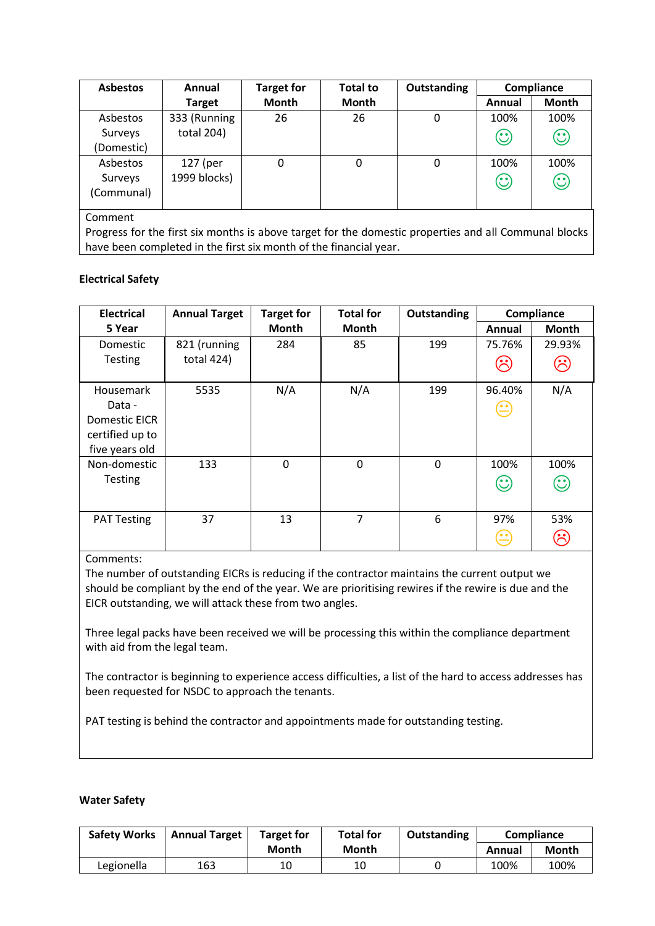| <b>Asbestos</b> | Annual        | <b>Target for</b> | <b>Total to</b> | Outstanding | Compliance |         |
|-----------------|---------------|-------------------|-----------------|-------------|------------|---------|
|                 | <b>Target</b> | <b>Month</b>      | <b>Month</b>    |             | Annual     | Month   |
| Asbestos        | 333 (Running  | 26                | 26              | 0           | 100%       | 100%    |
| Surveys         | total 204)    |                   |                 |             | $\odot$    | $\odot$ |
| (Domestic)      |               |                   |                 |             |            |         |
| Asbestos        | 127 (per      | 0                 | 0               | 0           | 100%       | 100%    |
| Surveys         | 1999 blocks)  |                   |                 |             | $\odot$    | $\odot$ |
| (Communal)      |               |                   |                 |             |            |         |
|                 |               |                   |                 |             |            |         |

Comment

Progress for the first six months is above target for the domestic properties and all Communal blocks have been completed in the first six month of the financial year.

### **Electrical Safety**

| <b>Electrical</b>                                                                | <b>Annual Target</b>       | <b>Target for</b> | <b>Total for</b> | Outstanding |                                             | Compliance        |
|----------------------------------------------------------------------------------|----------------------------|-------------------|------------------|-------------|---------------------------------------------|-------------------|
| 5 Year                                                                           |                            | <b>Month</b>      | Month            |             | Annual                                      | <b>Month</b>      |
| Domestic<br><b>Testing</b>                                                       | 821 (running<br>total 424) | 284               | 85               | 199         | 75.76%<br>$(\dot{\gamma})$                  | 29.93%<br>$\odot$ |
| <b>Housemark</b><br>Data -<br>Domestic EICR<br>certified up to<br>five years old | 5535                       | N/A               | N/A              | 199         | 96.40%<br>$\mathbf{\Xi}$                    | N/A               |
| Non-domestic<br><b>Testing</b>                                                   | 133                        | $\Omega$          | $\Omega$         | $\Omega$    | 100%<br>$\rm (\!\! \cdot \!\! \cdot \!\! )$ | 100%<br>$\odot$   |
| <b>PAT Testing</b>                                                               | 37                         | 13                | 7                | 6           | 97%<br>ه ه ا                                | 53%<br>$\delta$   |

## Comments:

The number of outstanding EICRs is reducing if the contractor maintains the current output we should be compliant by the end of the year. We are prioritising rewires if the rewire is due and the EICR outstanding, we will attack these from two angles.

Three legal packs have been received we will be processing this within the compliance department with aid from the legal team.

The contractor is beginning to experience access difficulties, a list of the hard to access addresses has been requested for NSDC to approach the tenants.

PAT testing is behind the contractor and appointments made for outstanding testing.

#### **Water Safety**

| <b>Safety Works</b> | <b>Annual Target</b> | <b>Target for</b> | <b>Total for</b> | Outstanding |        | <b>Compliance</b> |
|---------------------|----------------------|-------------------|------------------|-------------|--------|-------------------|
|                     |                      | Month             | <b>Month</b>     |             | Annual | Month             |
| Legionella          | 163                  | 10                | 10               |             | 100%   | 100%              |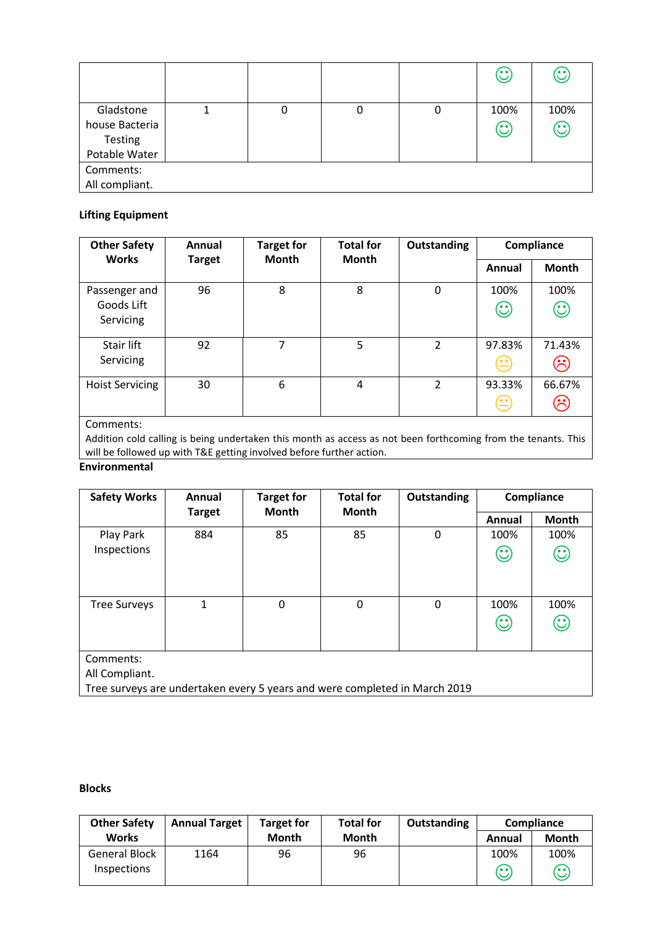|                                                                |  |   | $\odot$         | $\mathbb{C}$    |
|----------------------------------------------------------------|--|---|-----------------|-----------------|
| Gladstone<br>house Bacteria<br><b>Testing</b><br>Potable Water |  | 0 | 100%<br>$\odot$ | 100%<br>$\odot$ |
| Comments:<br>All compliant.                                    |  |   |                 |                 |

## **Lifting Equipment**

| <b>Other Safety</b>    | Annual        | <b>Target for</b> |                | <b>Total for</b> |                                         |                                                                                                                  | <b>Outstanding</b> | Compliance |  |
|------------------------|---------------|-------------------|----------------|------------------|-----------------------------------------|------------------------------------------------------------------------------------------------------------------|--------------------|------------|--|
| <b>Works</b>           | <b>Target</b> | <b>Month</b>      | <b>Month</b>   |                  | Annual                                  | <b>Month</b>                                                                                                     |                    |            |  |
| Passenger and          | 96            | 8                 | 8              | $\mathbf 0$      | 100%                                    | 100%                                                                                                             |                    |            |  |
| Goods Lift             |               |                   |                |                  | $\odot$                                 | $\odot$                                                                                                          |                    |            |  |
| Servicing              |               |                   |                |                  |                                         |                                                                                                                  |                    |            |  |
| Stair lift             | 92            | 7                 | 5              | 2                | 97.83%                                  | 71.43%                                                                                                           |                    |            |  |
| Servicing              |               |                   |                |                  | $\left(\stackrel{\centerdot}{=}\right)$ | $(\dot{\gamma})$                                                                                                 |                    |            |  |
| <b>Hoist Servicing</b> | 30            | 6                 | $\overline{a}$ | 2                | 93.33%                                  | 66.67%                                                                                                           |                    |            |  |
|                        |               |                   |                |                  | $(\hat{\mathord{=}})$                   | $\mathfrak{S}% _{T}=\mathfrak{S}_{T}\!\left( a,b\right) ,\mathfrak{S}_{T}=\mathfrak{S}_{T}\!\left( a,b\right) ,$ |                    |            |  |

### Comments:

Addition cold calling is being undertaken this month as access as not been forthcoming from the tenants. This will be followed up with T&E getting involved before further action.

### **Environmental**

| <b>Safety Works</b>                                                                                       | Annual        | <b>Target for</b> | <b>Total for</b> | <b>Outstanding</b> |                 | Compliance      |
|-----------------------------------------------------------------------------------------------------------|---------------|-------------------|------------------|--------------------|-----------------|-----------------|
|                                                                                                           | <b>Target</b> | <b>Month</b>      | <b>Month</b>     |                    | Annual          | <b>Month</b>    |
| Play Park                                                                                                 | 884           | 85                | 85               | 0                  | 100%            | 100%            |
| Inspections                                                                                               |               |                   |                  |                    | $\odot$         | $\odot$         |
| <b>Tree Surveys</b>                                                                                       | 1             | 0                 | $\Omega$         | 0                  | 100%<br>$\odot$ | 100%<br>$\odot$ |
| Comments:<br>All Compliant.<br>Tree surveys are undertaken every 5 years and were completed in March 2019 |               |                   |                  |                    |                 |                 |

### **Blocks**

| <b>Other Safety</b>  | <b>Annual Target</b> | <b>Target for</b> | <b>Total for</b> | Outstanding |         | Compliance             |
|----------------------|----------------------|-------------------|------------------|-------------|---------|------------------------|
| <b>Works</b>         |                      | <b>Month</b>      | <b>Month</b>     |             | Annual  | Month                  |
| <b>General Block</b> | 1164                 | 96                | 96               |             | 100%    | 100%                   |
| <b>Inspections</b>   |                      |                   |                  |             | $\odot$ | $\mathbf{\widehat{C}}$ |